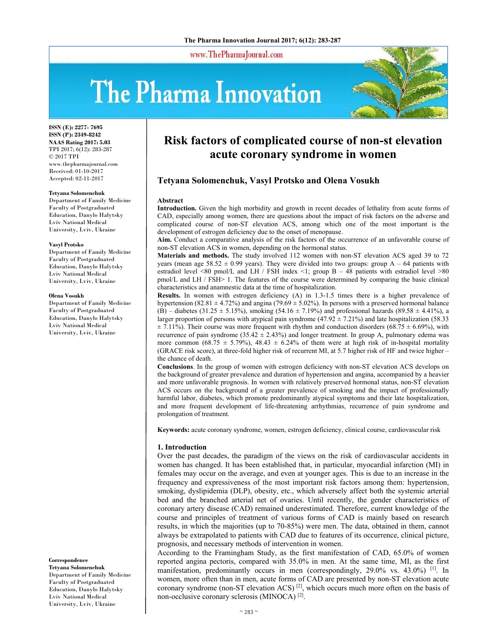www.ThePharmaJournal.com

# The Pharma Innovation



**ISSN (E): 2277- 7695 ISSN (P): 2349-8242 NAAS Rating 2017: 5.03** TPI 2017; 6(12): 283-287 © 2017 TPI www.thepharmajournal.com Received: 01-10-2017 Accepted: 02-11-2017

#### **Tetyana Solomenchuk**

Department of Family Medicine Faculty of Postgraduated Education, Danylo Halytsky Lviv National Medical University, Lviv, Ukraine

#### **Vasyl Protsko**

Department of Family Medicine Faculty of Postgraduated Education, Danylo Halytsky Lviv National Medical University, Lviv, Ukraine

#### **Olena Vosukh**

Department of Family Medicine Faculty of Postgraduated Education, Danylo Halytsky Lviv National Medical University, Lviv, Ukraine

**Correspondence** 

**Tetyana Solomenchuk**  Department of Family Medicine Faculty of Postgraduated Education, Danylo Halytsky Lviv National Medical University, Lviv, Ukraine

# **Risk factors of complicated course of non-st elevation acute coronary syndrome in women**

# **Tetyana Solomenchuk, Vasyl Protsko and Olena Vosukh**

#### **Abstract**

**Introduction.** Given the high morbidity and growth in recent decades of lethality from acute forms of CAD, especially among women, there are questions about the impact of risk factors on the adverse and complicated course of non-ST elevation ACS, among which one of the most important is the development of estrogen deficiency due to the onset of menopause.

**Aim.** Conduct a comparative analysis of the risk factors of the occurrence of an unfavorable course of non-ST elevation ACS in women, depending on the hormonal status.

**Materials and methods.** The study involved 112 women with non-ST elevation ACS aged 39 to 72 years (mean age  $58.52 \pm 0.99$  years). They were divided into two groups: group A – 64 patients with estradiol level <80 pmol/L and LH / FSH index <1; group  $B - 48$  patients with estradiol level >80 pmol/L and LH / FSH> 1. The features of the course were determined by comparing the basic clinical characteristics and anamnestic data at the time of hospitalization.

**Results.** In women with estrogen deficiency (A) in 1.3-1.5 times there is a higher prevalence of hypertension (82.81  $\pm$  4.72%) and angina (79.69  $\pm$  5.02%). In persons with a preserved hormonal balance (B) – diabetes (31.25  $\pm$  5.15%), smoking (54.16  $\pm$  7.19%) and professional hazards (89.58  $\pm$  4.41%), a larger proportion of persons with atypical pain syndrome  $(47.92 \pm 7.21\%)$  and late hospitalization (58.33)  $\pm$  7.11%). Their course was more frequent with rhythm and conduction disorders (68.75  $\pm$  6.69%), with recurrence of pain syndrome (35.42  $\pm$  2.43%) and longer treatment. In group A, pulmonary edema was more common (68.75  $\pm$  5.79%), 48.43  $\pm$  6.24% of them were at high risk of in-hospital mortality (GRACE risk score), at three-fold higher risk of recurrent MI, at 5.7 higher risk of HF and twice higher – the chance of death.

**Conclusions**. In the group of women with estrogen deficiency with non-ST elevation ACS develops on the background of greater prevalence and duration of hypertension and angina, accompanied by a heavier and more unfavorable prognosis. In women with relatively preserved hormonal status, non-ST elevation ACS occurs on the background of a greater prevalence of smoking and the impact of professionally harmful labor, diabetes, which promote predominantly atypical symptoms and their late hospitalization, and more frequent development of life-threatening arrhythmias, recurrence of pain syndrome and prolongation of treatment.

**Keywords:** acute coronary syndrome, women, estrogen deficiency, clinical course, cardiovascular risk

#### **1. Introduction**

Over the past decades, the paradigm of the views on the risk of cardiovascular accidents in women has changed. It has been established that, in particular, myocardial infarction (MI) in females may occur on the average, and even at younger ages. This is due to an increase in the frequency and expressiveness of the most important risk factors among them: hypertension, smoking, dyslipidemia (DLP), obesity, etc., which adversely affect both the systemic arterial bed and the branched arterial net of ovaries. Until recently, the gender characteristics of coronary artery disease (CAD) remained underestimated. Therefore, current knowledge of the course and principles of treatment of various forms of CAD is mainly based on research results, in which the majorities (up to 70-85%) were men. The data, obtained in them, cannot always be extrapolated to patients with CAD due to features of its occurrence, clinical picture, prognosis, and necessary methods of intervention in women.

According to the Framingham Study, as the first manifestation of CAD, 65.0% of women reported angina pectoris, compared with 35.0% in men. At the same time, MI, as the first manifestation, predominantly occurs in men (correspondingly,  $29.0\%$  vs.  $43.0\%$ ) <sup>[1]</sup>. In women, more often than in men, acute forms of CAD are presented by non-ST elevation acute coronary syndrome (non-ST elevation ACS)  $^{[2]}$ , which occurs much more often on the basis of non-occlusive coronary sclerosis (MINOCA) [2].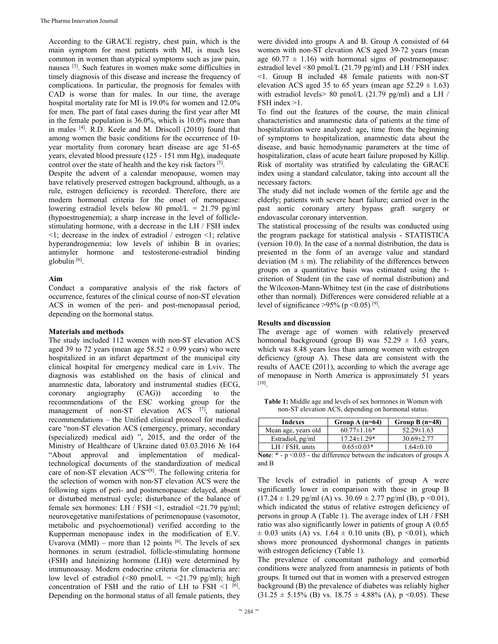According to the GRACE registry, chest pain, which is the main symptom for most patients with MI, is much less common in women than atypical symptoms such as jaw pain, nausea [3]. Such features in women make some difficulties in timely diagnosis of this disease and increase the frequency of complications. In particular, the prognosis for females with CAD is worse than for males. In our time, the average hospital mortality rate for MI is 19.0% for women and 12.0% for men. The part of fatal cases during the first year after MI in the female population is 36.0%, which is 10.0% more than in males [4]. R.D. Keele and M. Driscoll (2010) found that among women the basic conditions for the occurrence of 10 year mortality from coronary heart disease are age 51-65 years, elevated blood pressure (125 - 151 mm Hg), inadequate control over the state of health and the key risk factors [5].

Despite the advent of a calendar menopause, women may have relatively preserved estrogen background, although, as a rule, estrogen deficiency is recorded. Therefore, there are modern hormonal criteria for the onset of menopause: lowering estradiol levels below 80 pmol/ $L = 21.79$  pg/ml (hypoestrogenemia); a sharp increase in the level of folliclestimulating hormone, with a decrease in the LH / FSH index <1; decrease in the index of estradiol / estrogen <1; relative hyperandrogenemia; low levels of inhibin B in ovaries; antimyler hormone and testosterone-estradiol binding globulin [6].

## **Aim**

Conduct a comparative analysis of the risk factors of occurrence, features of the clinical course of non-ST elevation ACS in women of the peri- and post-menopausal period, depending on the hormonal status.

### **Materials and methods**

The study included 112 women with non-ST elevation ACS aged 39 to 72 years (mean age  $58.52 \pm 0.99$  years) who were hospitalized in an infarct department of the municipal city clinical hospital for emergency medical care in Lviv. The diagnosis was established on the basis of clinical and anamnestic data, laboratory and instrumental studies (ECG, coronary angiography (CAG)) according to the recommendations of the ESC working group for the management of non-ST elevation ACS [7], national recommendations – the Unified clinical protocol for medical care "non-ST elevation ACS (emergency, primary, secondary (specialized) medical aid) ", 2015, and the order of the Ministry of Healthcare of Ukraine dated 03.03.2016 № 164 "About approval and implementation of medicaltechnological documents of the standardization of medical care of non-ST elevation ACS"[8]. The following criteria for the selection of women with non-ST elevation ACS were the following signs of peri- and postmenopause: delayed, absent or disturbed menstrual cycle; disturbance of the balance of female sex hormones: LH / FSH <1, estradiol <21.79 pg/ml; neurovegetative manifestations of perimenopause (vasomotor, metabolic and psychoemotional) verified according to the Kupperman menopause index in the modification of E.V. Uvarova (MMI) – more than 12 points  $[6]$ . The levels of sex hormones in serum (estradiol, follicle-stimulating hormone (FSH) and luteinizing hormone (LH)) were determined by immunoassay. Modern endocrine criteria for climacteria are: low level of estradiol  $(\leq 80 \text{ pmol/L} = \leq 21.79 \text{ pg/ml})$ ; high concentration of FSH and the ratio of LH to FSH  $\leq$ 1 [6]. Depending on the hormonal status of all female patients, they

were divided into groups A and B. Group A consisted of 64 women with non-ST elevation ACS aged 39-72 years (mean age  $60.77 \pm 1.16$ ) with hormonal signs of postmenopause: estradiol level <80 pmol/L (21.79 pg/ml) and LH / FSH index <1. Group B included 48 female patients with non-ST elevation ACS aged 35 to 65 years (mean age  $52.29 \pm 1.63$ ) with estradiol levels> 80 pmol/L (21.79 pg/ml) and a LH / FSH index >1.

To find out the features of the course, the main clinical characteristics and anamnestic data of patients at the time of hospitalization were analyzed: age, time from the beginning of symptoms to hospitalization, anamnestic data about the disease, and basic hemodynamic parameters at the time of hospitalization, class of acute heart failure proposed by Killip. Risk of mortality was stratified by calculating the GRACE index using a standard calculator, taking into account all the necessary factors.

The study did not include women of the fertile age and the elderly; patients with severe heart failure; carried over in the past aortic coronary artery bypass graft surgery or endovascular coronary intervention.

The statistical processing of the results was conducted using the program package for statistical analysis - STATISTICA (version 10.0). In the case of a normal distribution, the data is presented in the form of an average value and standard deviation  $(M \pm m)$ . The reliability of the differences between groups on a quantitative basis was estimated using the tcriterion of Student (in the case of normal distribution) and the Wilcoxon-Mann-Whitney test (in the case of distributions other than normal). Differences were considered reliable at a level of significance >95% (p < 0.05) [9].

# **Results and discussion**

The average age of women with relatively preserved hormonal background (group B) was  $52.29 \pm 1.63$  years, which was 8.48 years less than among women with estrogen deficiency (group A). These data are consistent with the results of AACE (2011), according to which the average age of menopause in North America is approximately 51 years [10].

**Table 1:** Middle age and levels of sex hormones in Women with non-ST elevation ACS, depending on hormonal status.

| Indexes             | Group A $(n=64)$  | Group B $(n=48)$ |
|---------------------|-------------------|------------------|
| Mean age, years old | $60.77 \pm 1.16*$ | $52.29 \pm 1.63$ |
| Estradiol, pg/ml    | $17.24 \pm 1.29*$ | $30.69 \pm 2.77$ |
| LH / FSH, units     | $0.65 \pm 0.03*$  | $1.64 \pm 0.10$  |

Note: \* - p < 0.05 - the difference between the indicators of groups A and B

The levels of estradiol in patients of group A were significantly lower in comparison with those in group B  $(17.24 \pm 1.29 \text{ pg/ml}$  (A) vs.  $30.69 \pm 2.77 \text{ pg/ml}$  (B), p <0.01), which indicated the status of relative estrogen deficiency of persons in group A (Table 1). The average index of LH / FSH ratio was also significantly lower in patients of group A (0.65  $\pm$  0.03 units (A) vs. 1.64  $\pm$  0.10 units (B), p <0.01), which shows more pronounced dyshormonal changes in patients with estrogen deficiency (Table 1).

The prevalence of concomitant pathology and comorbid conditions were analyzed from anamnesis in patients of both groups. It turned out that in women with a preserved estrogen background (B) the prevalence of diabetes was reliably higher  $(31.25 \pm 5.15\%$  (B) vs.  $18.75 \pm 4.88\%$  (A), p < 0.05). These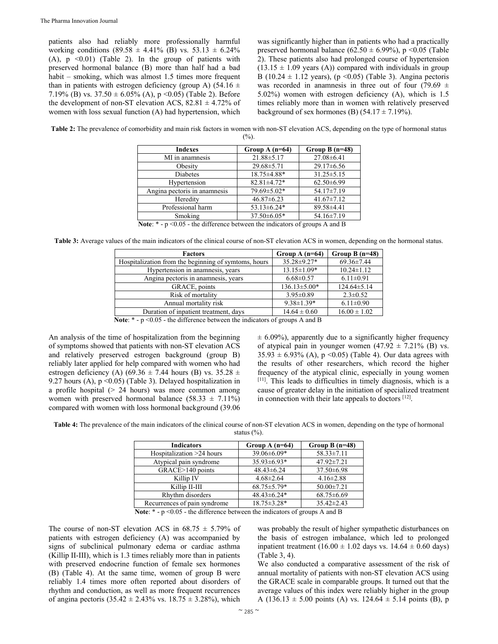patients also had reliably more professionally harmful working conditions (89.58  $\pm$  4.41% (B) vs. 53.13  $\pm$  6.24% (A),  $p \leq 0.01$ ) (Table 2). In the group of patients with preserved hormonal balance (B) more than half had a bad habit – smoking, which was almost 1.5 times more frequent than in patients with estrogen deficiency (group A) (54.16  $\pm$ 7.19% (B) vs.  $37.50 \pm 6.05\%$  (A), p < 0.05) (Table 2). Before the development of non-ST elevation ACS,  $82.81 \pm 4.72\%$  of women with loss sexual function (A) had hypertension, which

was significantly higher than in patients who had a practically preserved hormonal balance  $(62.50 \pm 6.99\%)$ , p < 0.05 (Table 2). These patients also had prolonged course of hypertension  $(13.15 \pm 1.09 \text{ years}$  (A)) compared with individuals in group B (10.24  $\pm$  1.12 years), (p <0.05) (Table 3). Angina pectoris was recorded in anamnesis in three out of four (79.69  $\pm$ 5.02%) women with estrogen deficiency (A), which is 1.5 times reliably more than in women with relatively preserved background of sex hormones (B)  $(54.17 \pm 7.19\%)$ .

**Table 2:** The prevalence of comorbidity and main risk factors in women with non-ST elevation ACS, depending on the type of hormonal status  $(%).$ 

| <b>Indexes</b>                                                                            | Group A $(n=64)$  | Group B $(n=48)$ |  |
|-------------------------------------------------------------------------------------------|-------------------|------------------|--|
| MI in anamnesis                                                                           | $21.88 \pm 5.17$  | $27.08 \pm 6.41$ |  |
| Obesity                                                                                   | $29.68 \pm 5.71$  | $29.17\pm 6.56$  |  |
| Diabetes                                                                                  | 18.75±4.88*       | $31.25 \pm 5.15$ |  |
| Hypertension                                                                              | $82.81 \pm 4.72*$ | $62.50\pm6.99$   |  |
| Angina pectoris in anamnesis                                                              | 79.69 ± 5.02*     | 54.17±7.19       |  |
| Heredity                                                                                  | $46.87 \pm 6.23$  | $41.67 \pm 7.12$ |  |
| Professional harm                                                                         | $53.13 \pm 6.24*$ | 89.58±4.41       |  |
| Smoking                                                                                   | 37.50±6.05*       | $54.16 \pm 7.19$ |  |
| <b>Note:</b> $*$ - $p \le 0.05$ - the difference between the indicators of groups A and B |                   |                  |  |

**Table 3:** Average values of the main indicators of the clinical course of non-ST elevation ACS in women, depending on the hormonal status.

| <b>Factors</b>                                                               | Group A $(n=64)$   | Group B $(n=48)$  |  |
|------------------------------------------------------------------------------|--------------------|-------------------|--|
| Hospitalization from the beginning of symtoms, hours                         | $35.28 \pm 9.27*$  | $69.36 \pm 7.44$  |  |
| Hypertension in anamnesis, years                                             | $13.15 \pm 1.09*$  | $10.24 \pm 1.12$  |  |
| Angina pectoris in anamnesis, years                                          | $6.68 \pm 0.57$    | $6.11 \pm 0.91$   |  |
| GRACE, points                                                                | $136.13 \pm 5.00*$ | $124.64 \pm 5.14$ |  |
| Risk of mortality                                                            | $3.95 \pm 0.89$    | $2.3 \pm 0.52$    |  |
| Annual mortality risk                                                        | $9.38 \pm 1.39*$   | $6.11 \pm 0.90$   |  |
| Duration of inpatient treatment, days                                        | $14.64 \pm 0.60$   | $16.00 \pm 1.02$  |  |
| Note: $*$ $n < 0.05$ the difference between the indicators of groups A and D |                    |                   |  |

Note: \* - p <0.05 - the difference between the indicators of groups A and B

An analysis of the time of hospitalization from the beginning of symptoms showed that patients with non-ST elevation ACS and relatively preserved estrogen background (group B) reliably later applied for help compared with women who had estrogen deficiency (A) (69.36  $\pm$  7.44 hours (B) vs. 35.28  $\pm$ 9.27 hours (A),  $p \le 0.05$ ) (Table 3). Delayed hospitalization in a profile hospital  $(> 24$  hours) was more common among women with preserved hormonal balance  $(58.33 \pm 7.11\%)$ compared with women with loss hormonal background (39.06

 $\pm$  6.09%), apparently due to a significantly higher frequency of atypical pain in younger women  $(47.92 \pm 7.21\%$  (B) vs.  $35.93 \pm 6.93\%$  (A), p < 0.05) (Table 4). Our data agrees with the results of other researchers, which record the higher frequency of the atypical clinic, especially in young women [11]. This leads to difficulties in timely diagnosis, which is a cause of greater delay in the initiation of specialized treatment in connection with their late appeals to doctors [12].

**Table 4:** The prevalence of the main indicators of the clinical course of non-ST elevation ACS in women, depending on the type of hormonal status (%).

| <b>Indicators</b>            | Group A $(n=64)$  | Group B $(n=48)$ |
|------------------------------|-------------------|------------------|
| Hospitalization >24 hours    | 39.06 ± 6.09*     | $58.33 \pm 7.11$ |
| Atypical pain syndrome       | $35.93\pm 6.93*$  | $47.92 \pm 7.21$ |
| GRACE>140 points             | $48.43 \pm 6.24$  | $37.50 \pm 6.98$ |
| Killip IV                    | $4.68 \pm 2.64$   | $4.16 \pm 2.88$  |
| Killip II-III                | $68.75 \pm 5.79*$ | $50.00 \pm 7.21$ |
| Rhythm disorders             | $48.43\pm 6.24*$  | $68.75 \pm 6.69$ |
| Recurrences of pain syndrome | $18.75 \pm 3.28*$ | $35.42 \pm 2.43$ |

**Note:** \* - p <0.05 - the difference between the indicators of groups A and B

The course of non-ST elevation ACS in  $68.75 \pm 5.79\%$  of patients with estrogen deficiency (A) was accompanied by signs of subclinical pulmonary edema or cardiac asthma (Killip ІІ-ІІІ), which is 1.3 times reliably more than in patients with preserved endocrine function of female sex hormones (B) (Table 4). At the same time, women of group B were reliably 1.4 times more often reported about disorders of rhythm and conduction, as well as more frequent recurrences of angina pectoris  $(35.42 \pm 2.43\% \text{ vs. } 18.75 \pm 3.28\%)$ , which

was probably the result of higher sympathetic disturbances on the basis of estrogen imbalance, which led to prolonged inpatient treatment  $(16.00 \pm 1.02$  days vs.  $14.64 \pm 0.60$  days) (Table 3, 4).

We also conducted a comparative assessment of the risk of annual mortality of patients with non-ST elevation ACS using the GRACE scale in comparable groups. It turned out that the average values of this index were reliably higher in the group A (136.13  $\pm$  5.00 points (A) vs. 124.64  $\pm$  5.14 points (B), p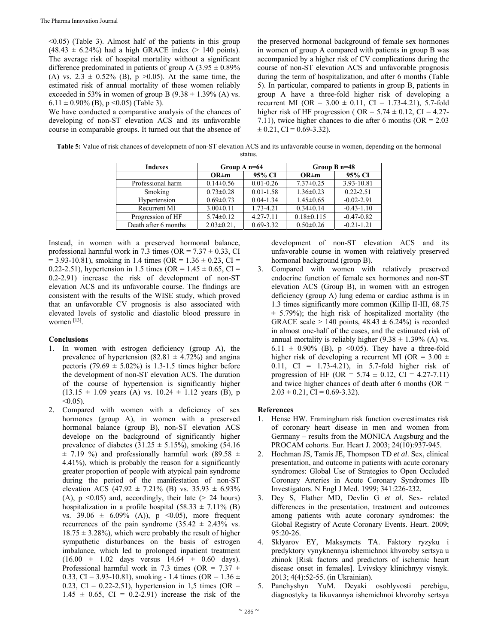$\leq 0.05$ ) (Table 3). Almost half of the patients in this group  $(48.43 \pm 6.24\%)$  had a high GRACE index (> 140 points). The average risk of hospital mortality without a significant difference predominated in patients of group A  $(3.95 \pm 0.89\%)$ (A) vs.  $2.3 \pm 0.52\%$  (B), p > 0.05). At the same time, the estimated risk of annual mortality of these women reliably exceeded in 53% in women of group B  $(9.38 \pm 1.39\%$  (A) vs.  $6.11 \pm 0.90\%$  (B), p < 0.05) (Table 3).

We have conducted a comparative analysis of the chances of developing of non-ST elevation ACS and its unfavorable course in comparable groups. It turned out that the absence of the preserved hormonal background of female sex hormones in women of group A compared with patients in group B was accompanied by a higher risk of CV complications during the course of non-ST elevation ACS and unfavorable prognosis during the term of hospitalization, and after 6 months (Table 5). In particular, compared to patients in group B, patients in group A have a three-fold higher risk of developing a recurrent MI (OR =  $3.00 \pm 0.11$ , CI = 1.73-4.21), 5.7-fold higher risk of HF progression ( OR =  $5.74 \pm 0.12$ , CI = 4.27-7.11), twice higher chances to die after 6 months (OR = 2.03  $\pm$  0.21, CI = 0.69-3.32).

**Table 5:** Value of risk chances of developmetn of non-ST elevation ACS and its unfavorable course in women, depending on the hormonal status.

| <b>Indexes</b>       | Group $A$ n=64    |               | Group $B$ n=48   |                |
|----------------------|-------------------|---------------|------------------|----------------|
|                      | $OR \pm m$        | 95% CI        | $OR \pm m$       | 95% CI         |
| Professional harm    | $0.14 \pm 0.56$   | $0.01 - 0.26$ | $7.37\pm0.25$    | 3.93-10.81     |
| Smoking              | $0.73 \pm 0.28$   | $0.01 - 1.58$ | $1.36 \pm 0.23$  | $0.22 - 2.51$  |
| Hypertension         | $0.69 \pm 0.73$   | $0.04 - 1.34$ | $1.45 \pm 0.65$  | $-0.02 - 2.91$ |
| Recurrent MI         | $3.00 \pm 0.11$   | 1.73-4.21     | $0.34\pm 0.14$   | $-0.43 - 1.10$ |
| Progression of HF    | $5.74 \pm 0.12$   | $4.27 - 7.11$ | $0.18 \pm 0.115$ | $-0.47 - 0.82$ |
| Death after 6 months | $2.03 \pm 0.21$ , | $0.69 - 3.32$ | $0.50 \pm 0.26$  | $-0.21 - 1.21$ |

Instead, in women with a preserved hormonal balance, professional harmful work in 7.3 times (OR =  $7.37 \pm 0.33$ , CI  $= 3.93 - 10.81$ , smoking in 1.4 times (OR = 1.36  $\pm$  0.23, CI = 0.22-2.51), hypertension in 1.5 times (OR =  $1.45 \pm 0.65$ , CI = 0.2-2.91) increase the risk of development of non-ST elevation ACS and its unfavorable course. The findings are consistent with the results of the WISE study, which proved that an unfavorable CV prognosis is also associated with elevated levels of systolic and diastolic blood pressure in women [13].

# **Conclusions**

- 1. In women with estrogen deficiency (group A), the prevalence of hypertension (82.81  $\pm$  4.72%) and angina pectoris (79.69  $\pm$  5.02%) is 1.3-1.5 times higher before the development of non-ST elevation ACS. The duration of the course of hypertension is significantly higher  $(13.15 \pm 1.09 \text{ years}$  (A) vs.  $10.24 \pm 1.12 \text{ years}$  (B), p  $< 0.05$ ).
- 2. Compared with women with a deficiency of sex hormones (group A), in women with a preserved hormonal balance (group B), non-ST elevation ACS develope on the background of significantly higher prevalence of diabetes  $(31.25 \pm 5.15\%)$ , smoking  $(54.16$  $\pm$  7.19 %) and professionally harmful work (89.58  $\pm$ 4.41%), which is probably the reason for a significantly greater proportion of people with atypical pain syndrome during the period of the manifestation of non-ST elevation ACS (47.92  $\pm$  7.21% (B) vs. 35.93  $\pm$  6.93% (A),  $p \le 0.05$ ) and, accordingly, their late ( $> 24$  hours) hospitalization in a profile hospital  $(58.33 \pm 7.11\%$  (B) vs.  $39.06 \pm 6.09\%$  (A)), p < 0.05), more frequent recurrences of the pain syndrome  $(35.42 \pm 2.43\% \text{ vs.})$  $18.75 \pm 3.28\%$ , which were probably the result of higher sympathetic disturbances on the basis of estrogen imbalance, which led to prolonged inpatient treatment  $(16.00 \pm 1.02 \text{ days} \text{ versus } 14.64 \pm 0.60 \text{ days}).$ Professional harmful work in 7.3 times (OR =  $7.37 \pm$ 0.33, CI = 3.93-10.81), smoking - 1.4 times (OR =  $1.36 \pm$ 0.23, CI = 0.22-2.51), hypertension in 1,5 times (OR =  $1.45 \pm 0.65$ , CI = 0.2-2.91) increase the risk of the

development of non-ST elevation ACS and its unfavorable course in women with relatively preserved hormonal background (group B).

3. Compared with women with relatively preserved endocrine function of female sex hormones and non-ST elevation ACS (Group B), in women with an estrogen deficiency (group A) lung edema or cardiac asthma is in 1.3 times significantly more common (Killip II-III, 68.75  $\pm$  5.79%); the high risk of hospitalized mortality (the GRACE scale  $> 140$  points,  $48.43 \pm 6.24\%$ ) is recorded in almost one-half of the cases, and the estimated risk of annual mortality is reliably higher  $(9.38 \pm 1.39\%$  (A) vs. 6.11  $\pm$  0.90% (B), p < 0.05). They have a three-fold higher risk of developing a recurrent MI (OR =  $3.00 \pm$ 0.11, CI = 1.73-4.21), in 5.7-fold higher risk of progression of HF (OR =  $5.74 \pm 0.12$ , CI = 4.27-7.11) and twice higher chances of death after 6 months ( $OR =$  $2.03 \pm 0.21$ , CI = 0.69-3.32).

# **References**

- 1. Hense HW. Framingham risk function overestimates risk of coronary heart disease in men and women from Germany – results from the MONICA Augsburg and the PROCAM cohorts. Eur. Heart J. 2003; 24(10):937-945.
- 2. Hochman JS, Tamis JE, Thompson TD *et al*. Sex, clinical presentation, and outcome in patients with acute coronary syndromes: Global Use of Strategies to Open Occluded Coronary Arteries in Acute Coronary Syndromes IIb Investigators. N Engl J Med. 1999; 341:226-232.
- 3. Dey S, Flather MD, Devlin G *et al*. Sex- related differences in the presentation, treatment and outcomes among patients with acute coronary syndromes: the Global Registry of Acute Coronary Events. Heart. 2009; 95:20-26.
- 4. Sklyarov EY, Maksymets TA. Faktory ryzyku i predyktory vynyknennya ishemichnoi khvoroby sertsya u zhinok [Risk factors and predictors of ischemic heart disease onset in females]. Lvivskyy klinichnyy visnyk. 2013; 4(4):52-55. (in Ukrainian).
- 5. Panchyshyn YuM. Deyaki osoblyvosti perebigu, diagnostyky ta likuvannya ishemichnoi khvoroby sertsya